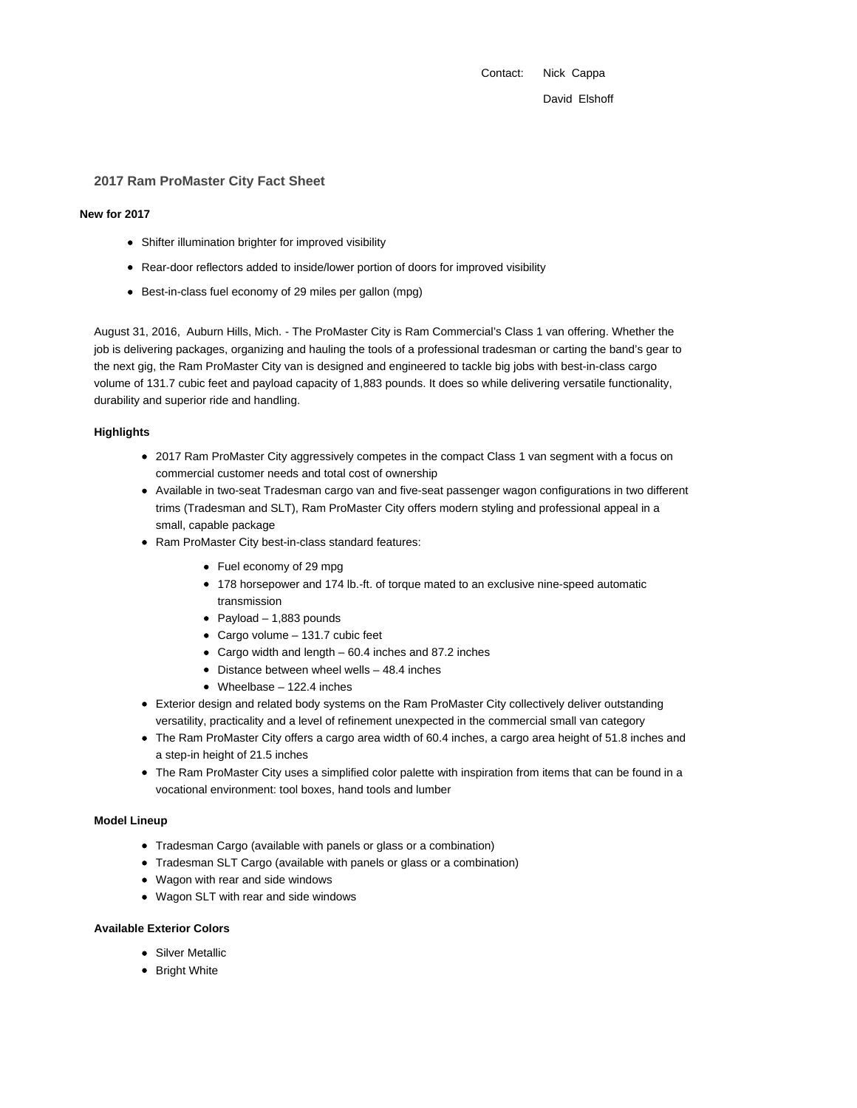Contact: Nick Cappa

David Elshoff

### **2017 Ram ProMaster City Fact Sheet**

#### **New for 2017**

- Shifter illumination brighter for improved visibility
- Rear-door reflectors added to inside/lower portion of doors for improved visibility
- Best-in-class fuel economy of 29 miles per gallon (mpg)

August 31, 2016, Auburn Hills, Mich. - The ProMaster City is Ram Commercial's Class 1 van offering. Whether the job is delivering packages, organizing and hauling the tools of a professional tradesman or carting the band's gear to the next gig, the Ram ProMaster City van is designed and engineered to tackle big jobs with best-in-class cargo volume of 131.7 cubic feet and payload capacity of 1,883 pounds. It does so while delivering versatile functionality, durability and superior ride and handling.

## **Highlights**

- 2017 Ram ProMaster City aggressively competes in the compact Class 1 van segment with a focus on commercial customer needs and total cost of ownership
- Available in two-seat Tradesman cargo van and five-seat passenger wagon configurations in two different trims (Tradesman and SLT), Ram ProMaster City offers modern styling and professional appeal in a small, capable package
- Ram ProMaster City best-in-class standard features:
	- Fuel economy of 29 mpg
	- 178 horsepower and 174 lb.-ft. of torque mated to an exclusive nine-speed automatic transmission
	- Payload 1,883 pounds
	- Cargo volume 131.7 cubic feet
	- Cargo width and length 60.4 inches and 87.2 inches
	- $\bullet$  Distance between wheel wells  $-48.4$  inches
	- Wheelbase 122.4 inches
- Exterior design and related body systems on the Ram ProMaster City collectively deliver outstanding versatility, practicality and a level of refinement unexpected in the commercial small van category
- The Ram ProMaster City offers a cargo area width of 60.4 inches, a cargo area height of 51.8 inches and a step-in height of 21.5 inches
- The Ram ProMaster City uses a simplified color palette with inspiration from items that can be found in a vocational environment: tool boxes, hand tools and lumber

### **Model Lineup**

- Tradesman Cargo (available with panels or glass or a combination)
- Tradesman SLT Cargo (available with panels or glass or a combination)
- Wagon with rear and side windows
- Wagon SLT with rear and side windows

# **Available Exterior Colors**

- Silver Metallic
- Bright White